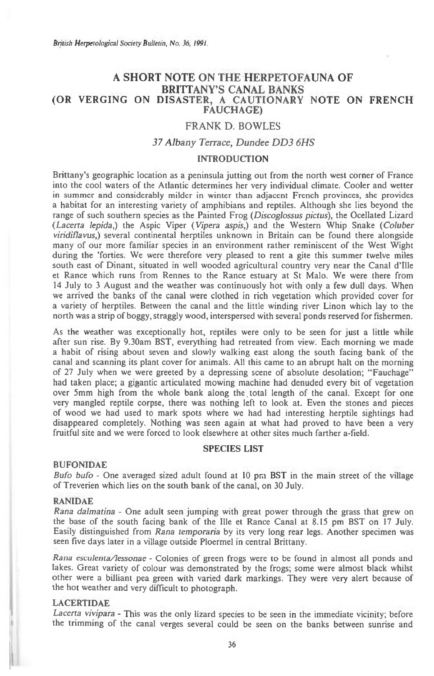# **A SHORT NOTE ON THE HERPETOFAUNA OF BRITTANY'S CANAL BANKS (OR VERGING ON DISASTER, A CAUTIONARY NOTE ON FRENCH FAUCHAGE)**

# **FRANK D. BOWLES**

## *37 Albany Terrace, Dundee DD3 6HS*

## **INTRODUCTION**

Brittany's geographic location as a peninsula jutting out from the north west corner of France into the cool waters of the Atlantic determines her very individual climate. Cooler and wetter in summer and considerably milder in winter than adjacent French provinces, she provides a habitat for an interesting variety of amphibians and reptiles. Although she lies beyond the range of such southern species as the Painted Frog *(Discoglossus pictus),* the Ocellated Lizard *(Lacerta lepida,)* the Aspic Viper *(Vipera aspis,)* and the Western Whip Snake *(Coluber viridiflavus,)* several continental herptiles unknown in Britain can be found there alongside many of our more familiar species in an environment rather reminiscent of the West Wight during the 'forties. We were therefore very pleased to rent a gite this summer twelve miles south east of Dinant, situated in well wooded agricultural country very near the Canal d'Ille et Rance which runs from Rennes to the Rance estuary at St Malo. We were there from 14 July to 3 August and the weather was continuously hot with only a few dull days. When we arrived the banks of the canal were clothed in rich vegetation which provided cover for a variety of herptiles. Between the canal and the little winding river Linon which lay to the north was a strip of boggy, straggly wood, interspersed with several ponds reserved for fishermen.

As the weather was exceptionally hot, reptiles were only to be seen for just a little while after sun rise. By 9.30am BST, everything had retreated from view. Each morning we made a habit of rising about seven and slowly walking east along the south facing bank of the canal and scanning its plant cover for animals. All this came to an abrupt halt on the morning of 27 July when we were greeted by a depressing scene of absolute desolation; "Fauchage" had taken place; a gigantic articulated mowing machine had denuded every bit of vegetation over 5mm high from the whole bank along the total length of the canal. Except for one very mangled reptile corpse, there was nothing left to look at. Even the stones and pieces of wood we had used to mark spots where we had had interesting herptile sightings had disappeared completely. Nothing was seen again at what had proved to have been a very fruitful site and we were forced to look elsewhere at other sites much farther a-field.

# **SPECIES LIST**

## **BUFONIDAE**

*Bufo bufo -* One averaged sized adult found at 10 pm BST in the main street of the village of Treverien which lies on the south bank of the canal, on 30 July.

#### **RANIDAE**

*Rana dalmatina -* One adult seen jumping with great power through the grass that grew on the base of the south facing bank of the Ille et Rance Canal at 8.15 pm BST on 17 July. Easily distinguished from Rana *temporaria* by its very long rear legs. Another specimen was seen five days later in a village outside Ploermel in central Brittany.

Rana *esculenta/lessonae -* Colonies of green frogs were to be found in almost all ponds and lakes. Great variety of colour was demonstrated by the frogs; some were almost black whilst other were a billiant pea green with varied dark markings. They were very alert because of the hot weather and very difficult to photograph.

#### **LACERTIDAE**

*Lacerta vivipara -* This was the only lizard species to be seen in the immediate vicinity; before the trimming of the canal verges several could be seen on the banks between sunrise and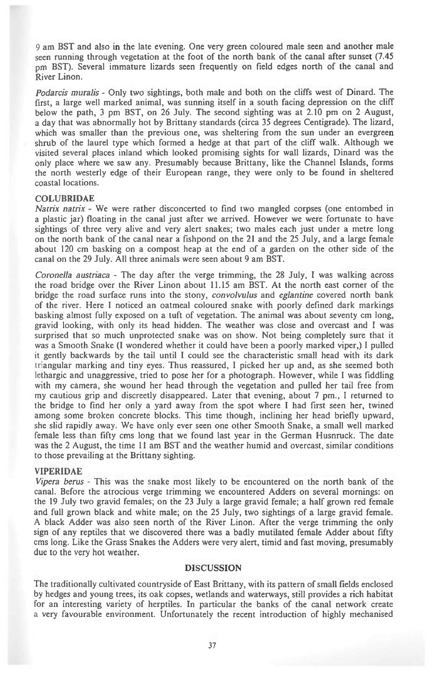9 am BST and also in the late evening. One very green coloured male seen and another male seen running through vegetation at the foot of the north bank of the canal after sunset (7.45 **pm** BST). Several immature lizards seen frequently on field edges north of the canal and River Linon.

Podarcis muralis - Only two sightings, both male and both on the cliffs west of Dinard. The first, a large well marked animal, was sunning itself in a south facing depression on the cliff below the path, 3 pm BST, on 26 July. The second sighting was at 2.10 pm on 2 August, a day that was abnormally hot by Brittany standards (circa 35 degrees Centigrade). The lizard, which was smaller than the previous one, was sheltering from the sun under an evergreen shrub of the laurel type which formed a hedge at that part of the cliff walk. Although we visited several places inland which looked promising sights for wall lizards, Dinard was the only place where we saw any. Presumably because Brittany, like the Channel Islands, forms the north westerly edge of their European range, they were only to be found in sheltered coastal locations.

#### COLUBRIDAE

Natrix natrix - We were rather disconcerted to find two mangled corpses (one entombed in a plastic jar) floating in the canal just after we arrived. However we were fortunate to have sightings of three very alive and very alert snakes; two males each just under a metre long on the north bank of the canal near a fishpond on the 21 and the 25 July, and a large female about 120 cm basking on a compost heap at the end of a garden on the other side of the canal on the 29 July. All three animals were seen about 9 am BST.

Coronella austriaca - The day after the verge trimming, the 28 July, I was walking across the road bridge over the River Linon about 11.15 am BST. At the north east corner of the bridge the road surface runs into the stony, *convolvulus* and *eglantine* covered north bank of the river. Here I noticed an oatmeal coloured snake with poorly defined dark markings basking almost fully exposed on a tuft of vegetation. The animal was about seventy cm long, of the river. Here I noticed an oatmeal coloured snake with poorly defined dark markings basking almost fully exposed on a tuft of vegetation. The animal was about seventy cm long, gravid looking, with only its head hidden surprised that so much unprotected snake was on show. Not being completely sure that it was a Smooth Snake (I wondered whether it could have been a poorly marked viper,) I pulled If the tail words a Smooth Snake (I wondered whether it could have been a poorly marked viper,) I pulled it gently backwards by the tail until I could see the characteristic small head with its dark it gently backwards by the tail until I could see the characteristic small head with its dark<br>triangular marking and tiny eyes. Thus reassured, I picked her up and, as she seemed both triangular marking and tiny eyes. Thus reassured, I picked her up and, as she seemed both lethargic and unaggressive, tried to pose her for a photograph. However, while I was fiddling with my camera, she wound her head through the vegetation and pulled her tail free from my cautious grip and discreetly disappeared. Later that evening, about 7 pm., I returned to the bridge to find her only a yard away from the spot where I had first seen her, twined among some broken concrete blocks. This time though, inclining her head briefly upward, she slid rapidly away. We have only ever seen one other Smooth Snake, a small well marked female less than fifty cms long that we found last year in the German Husnruck. The date was the 2 August, the time 11 am BST and the weather humid and overcast, similar conditions to those prevailing at the Brittany sighting.

#### **VIPERIDAE**

Vipera berus - This was the snake most likely to be encountered on the north bank of the canal. Before the atrocious verge trimming we encountered Adders on several mornings: on the 19 July two gravid females; on the 23 July a large gravid female; a half grown red female and full grown black and white male; on the 25 July, two sightings of a large gravid female. A black Adder was also seen north of the River Linon. After the verge trimming the only sign of any reptiles that we discovered there was a badly mutilated female Adder about fifty ems long. Like the Grass Snakes the Adders were very alert, timid and fast moving, presumably due to the very hot weather.

#### **DISCUSSION**

The traditionally cultivated countryside of East Brittany, with its pattern of small fields enclosed by hedges and young trees, its oak copses, wetlands and waterways, still provides a rich habitat for an interesting variety of herptiles. In particular the banks of the canal network create a very favourable environment. Unfortunately the recent introduction of highly mechanised